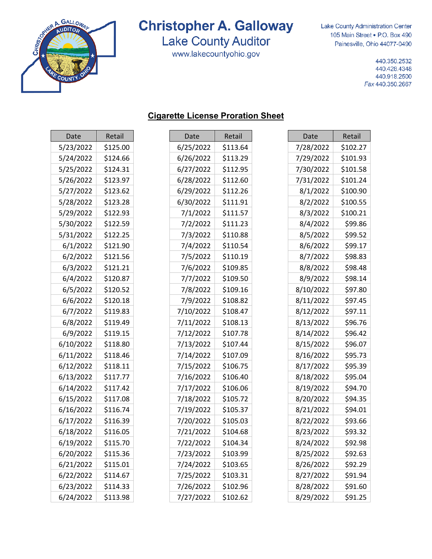

**Lake County Auditor** 

www.lakecountyohio.gov

Lake County Administration Center 105 Main Street . P.O. Box 490 Painesville, Ohio 44077-0490

> 440.350.2532 440.428.4348 440.918.2500 Fax 440.350.2667

| Date      | Retail   |
|-----------|----------|
| 5/23/2022 | \$125.00 |
| 5/24/2022 | \$124.66 |
| 5/25/2022 | \$124.31 |
| 5/26/2022 | \$123.97 |
| 5/27/2022 | \$123.62 |
| 5/28/2022 | \$123.28 |
| 5/29/2022 | \$122.93 |
| 5/30/2022 | \$122.59 |
| 5/31/2022 | \$122.25 |
| 6/1/2022  | \$121.90 |
| 6/2/2022  | \$121.56 |
| 6/3/2022  | \$121.21 |
| 6/4/2022  | \$120.87 |
| 6/5/2022  | \$120.52 |
| 6/6/2022  | \$120.18 |
| 6/7/2022  | \$119.83 |
| 6/8/2022  | \$119.49 |
| 6/9/2022  | \$119.15 |
| 6/10/2022 | \$118.80 |
| 6/11/2022 | \$118.46 |
| 6/12/2022 | \$118.11 |
| 6/13/2022 | \$117.77 |
| 6/14/2022 | \$117.42 |
| 6/15/2022 | \$117.08 |
| 6/16/2022 | \$116.74 |
| 6/17/2022 | \$116.39 |
| 6/18/2022 | \$116.05 |
| 6/19/2022 | \$115.70 |
| 6/20/2022 | \$115.36 |
| 6/21/2022 | \$115.01 |
| 6/22/2022 | \$114.67 |
| 6/23/2022 | \$114.33 |

6/24/2022

\$113.98

#### **Cigarette License Proration Sheet**

| Date      | Retail   |
|-----------|----------|
| 6/25/2022 | \$113.64 |
| 6/26/2022 | \$113.29 |
| 6/27/2022 | \$112.95 |
| 6/28/2022 | \$112.60 |
| 6/29/2022 | \$112.26 |
| 6/30/2022 | \$111.91 |
| 7/1/2022  | \$111.57 |
| 7/2/2022  | \$111.23 |
| 7/3/2022  | \$110.88 |
| 7/4/2022  | \$110.54 |
| 7/5/2022  | \$110.19 |
| 7/6/2022  | \$109.85 |
| 7/7/2022  | \$109.50 |
| 7/8/2022  | \$109.16 |
| 7/9/2022  | \$108.82 |
| 7/10/2022 | \$108.47 |
| 7/11/2022 | \$108.13 |
| 7/12/2022 | \$107.78 |
| 7/13/2022 | \$107.44 |
| 7/14/2022 | \$107.09 |
| 7/15/2022 | \$106.75 |
| 7/16/2022 | \$106.40 |
| 7/17/2022 | \$106.06 |
| 7/18/2022 | \$105.72 |
| 7/19/2022 | \$105.37 |
| 7/20/2022 | \$105.03 |
| 7/21/2022 | \$104.68 |
| 7/22/2022 | \$104.34 |
| 7/23/2022 | \$103.99 |
| 7/24/2022 | \$103.65 |
| 7/25/2022 | \$103.31 |
| 7/26/2022 | \$102.96 |
| 7/27/2022 | \$102.62 |

| Date      | Retail   |
|-----------|----------|
| 7/28/2022 | \$102.27 |
| 7/29/2022 | \$101.93 |
| 7/30/2022 | \$101.58 |
| 7/31/2022 | \$101.24 |
| 8/1/2022  | \$100.90 |
| 8/2/2022  | \$100.55 |
| 8/3/2022  | \$100.21 |
| 8/4/2022  | \$99.86  |
| 8/5/2022  | \$99.52  |
| 8/6/2022  | \$99.17  |
| 8/7/2022  | \$98.83  |
| 8/8/2022  | \$98.48  |
| 8/9/2022  | \$98.14  |
| 8/10/2022 | \$97.80  |
| 8/11/2022 | \$97.45  |
| 8/12/2022 | \$97.11  |
| 8/13/2022 | \$96.76  |
| 8/14/2022 | \$96.42  |
| 8/15/2022 | \$96.07  |
| 8/16/2022 | \$95.73  |
| 8/17/2022 | \$95.39  |
| 8/18/2022 | \$95.04  |
| 8/19/2022 | \$94.70  |
| 8/20/2022 | \$94.35  |
| 8/21/2022 | \$94.01  |
| 8/22/2022 | \$93.66  |
| 8/23/2022 | \$93.32  |
| 8/24/2022 | \$92.98  |
| 8/25/2022 | \$92.63  |
| 8/26/2022 | \$92.29  |
| 8/27/2022 | \$91.94  |
| 8/28/2022 | \$91.60  |
| 8/29/2022 | \$91.25  |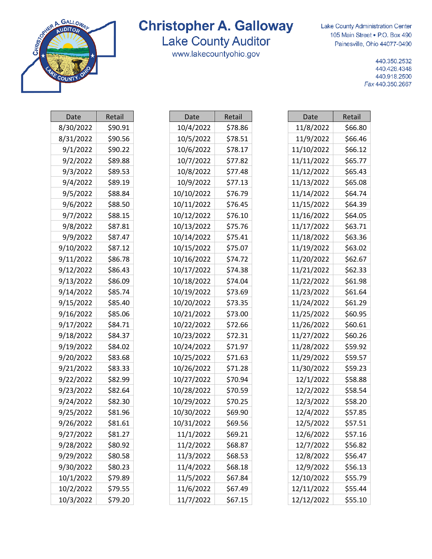

### **Lake County Auditor**

www.lakecountyohio.gov

Lake County Administration Center 105 Main Street . P.O. Box 490 Painesville, Ohio 44077-0490

> 440.350.2532 440.428.4348 440.918.2500 Fax 440.350.2667

| Date      | Retail  |
|-----------|---------|
| 8/30/2022 | \$90.91 |
| 8/31/2022 | \$90.56 |
| 9/1/2022  | \$90.22 |
| 9/2/2022  | \$89.88 |
| 9/3/2022  | \$89.53 |
| 9/4/2022  | \$89.19 |
| 9/5/2022  | \$88.84 |
| 9/6/2022  | \$88.50 |
| 9/7/2022  | \$88.15 |
| 9/8/2022  | \$87.81 |
| 9/9/2022  | \$87.47 |
| 9/10/2022 | \$87.12 |
| 9/11/2022 | \$86.78 |
| 9/12/2022 | \$86.43 |
| 9/13/2022 | \$86.09 |
| 9/14/2022 | \$85.74 |
| 9/15/2022 | \$85.40 |
| 9/16/2022 | \$85.06 |
| 9/17/2022 | \$84.71 |
| 9/18/2022 | \$84.37 |
| 9/19/2022 | \$84.02 |
| 9/20/2022 | \$83.68 |
| 9/21/2022 | \$83.33 |
| 9/22/2022 | \$82.99 |
| 9/23/2022 | \$82.64 |
| 9/24/2022 | \$82.30 |
| 9/25/2022 | \$81.96 |
| 9/26/2022 | \$81.61 |
| 9/27/2022 | \$81.27 |
| 9/28/2022 | \$80.92 |
| 9/29/2022 | \$80.58 |
| 9/30/2022 | \$80.23 |
| 10/1/2022 | \$79.89 |
| 10/2/2022 | \$79.55 |
| 10/3/2022 | \$79.20 |

| Date       | Retail  |
|------------|---------|
| 10/4/2022  | \$78.86 |
| 10/5/2022  | \$78.51 |
| 10/6/2022  | \$78.17 |
| 10/7/2022  | \$77.82 |
| 10/8/2022  | \$77.48 |
| 10/9/2022  | \$77.13 |
| 10/10/2022 | \$76.79 |
| 10/11/2022 | \$76.45 |
| 10/12/2022 | \$76.10 |
| 10/13/2022 | \$75.76 |
| 10/14/2022 | \$75.41 |
| 10/15/2022 | \$75.07 |
| 10/16/2022 | \$74.72 |
| 10/17/2022 | \$74.38 |
| 10/18/2022 | \$74.04 |
| 10/19/2022 | \$73.69 |
| 10/20/2022 | \$73.35 |
| 10/21/2022 | \$73.00 |
| 10/22/2022 | \$72.66 |
| 10/23/2022 | \$72.31 |
| 10/24/2022 | \$71.97 |
| 10/25/2022 | \$71.63 |
| 10/26/2022 | \$71.28 |
| 10/27/2022 | \$70.94 |
| 10/28/2022 | \$70.59 |
| 10/29/2022 | \$70.25 |
| 10/30/2022 | \$69.90 |
| 10/31/2022 | \$69.56 |
| 11/1/2022  | \$69.21 |
| 11/2/2022  | \$68.87 |
| 11/3/2022  | \$68.53 |
| 11/4/2022  | \$68.18 |
| 11/5/2022  | \$67.84 |
| 11/6/2022  | \$67.49 |
| 11/7/2022  | \$67.15 |

| Date       | Retail  |
|------------|---------|
| 11/8/2022  | \$66.80 |
| 11/9/2022  | \$66.46 |
| 11/10/2022 | \$66.12 |
| 11/11/2022 | \$65.77 |
| 11/12/2022 | \$65.43 |
| 11/13/2022 | \$65.08 |
| 11/14/2022 | \$64.74 |
| 11/15/2022 | \$64.39 |
| 11/16/2022 | \$64.05 |
| 11/17/2022 | \$63.71 |
| 11/18/2022 | \$63.36 |
| 11/19/2022 | \$63.02 |
| 11/20/2022 | \$62.67 |
| 11/21/2022 | \$62.33 |
| 11/22/2022 | \$61.98 |
| 11/23/2022 | \$61.64 |
| 11/24/2022 | \$61.29 |
| 11/25/2022 | \$60.95 |
| 11/26/2022 | \$60.61 |
| 11/27/2022 | \$60.26 |
| 11/28/2022 | \$59.92 |
| 11/29/2022 | \$59.57 |
| 11/30/2022 | \$59.23 |
| 12/1/2022  | \$58.88 |
| 12/2/2022  | \$58.54 |
| 12/3/2022  | \$58.20 |
| 12/4/2022  | \$57.85 |
| 12/5/2022  | \$57.51 |
| 12/6/2022  | \$57.16 |
| 12/7/2022  | \$56.82 |
| 12/8/2022  | \$56.47 |
| 12/9/2022  | \$56.13 |
| 12/10/2022 | \$55.79 |
| 12/11/2022 | \$55.44 |
| 12/12/2022 | \$55.10 |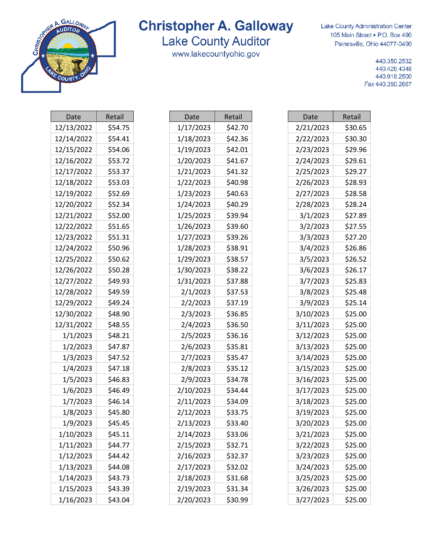

### **Lake County Auditor**

www.lakecountyohio.gov

т

Lake County Administration Center 105 Main Street . P.O. Box 490 Painesville, Ohio 44077-0490

> 440.350.2532 440.428.4348 440.918.2500 Fax 440.350.2667

| Date       | Retail  |
|------------|---------|
| 12/13/2022 | \$54.75 |
| 12/14/2022 | \$54.41 |
| 12/15/2022 | \$54.06 |
| 12/16/2022 | \$53.72 |
| 12/17/2022 | \$53.37 |
| 12/18/2022 | \$53.03 |
| 12/19/2022 | \$52.69 |
| 12/20/2022 | \$52.34 |
| 12/21/2022 | \$52.00 |
| 12/22/2022 | \$51.65 |
| 12/23/2022 | \$51.31 |
| 12/24/2022 | \$50.96 |
| 12/25/2022 | \$50.62 |
| 12/26/2022 | \$50.28 |
| 12/27/2022 | \$49.93 |
| 12/28/2022 | \$49.59 |
| 12/29/2022 | \$49.24 |
| 12/30/2022 | \$48.90 |
| 12/31/2022 | \$48.55 |
| 1/1/2023   | \$48.21 |
| 1/2/2023   | \$47.87 |
| 1/3/2023   | \$47.52 |
| 1/4/2023   | \$47.18 |
| 1/5/2023   | \$46.83 |
| 1/6/2023   | \$46.49 |
| 1/7/2023   | \$46.14 |
| 1/8/2023   | \$45.80 |
| 1/9/2023   | \$45.45 |
| 1/10/2023  | \$45.11 |
| 1/11/2023  | \$44.77 |
| 1/12/2023  | \$44.42 |
| 1/13/2023  | \$44.08 |
| 1/14/2023  | \$43.73 |
| 1/15/2023  | \$43.39 |
| 1/16/2023  | \$43.04 |

| Date      | Retail  |
|-----------|---------|
| 1/17/2023 | \$42.70 |
| 1/18/2023 | \$42.36 |
| 1/19/2023 | \$42.01 |
| 1/20/2023 | \$41.67 |
| 1/21/2023 | \$41.32 |
| 1/22/2023 | \$40.98 |
| 1/23/2023 | \$40.63 |
| 1/24/2023 | \$40.29 |
| 1/25/2023 | \$39.94 |
| 1/26/2023 | \$39.60 |
| 1/27/2023 | \$39.26 |
| 1/28/2023 | \$38.91 |
| 1/29/2023 | \$38.57 |
| 1/30/2023 | \$38.22 |
| 1/31/2023 | \$37.88 |
| 2/1/2023  | \$37.53 |
| 2/2/2023  | \$37.19 |
| 2/3/2023  | \$36.85 |
| 2/4/2023  | \$36.50 |
| 2/5/2023  | \$36.16 |
| 2/6/2023  | \$35.81 |
| 2/7/2023  | \$35.47 |
| 2/8/2023  | \$35.12 |
| 2/9/2023  | \$34.78 |
| 2/10/2023 | \$34.44 |
| 2/11/2023 | \$34.09 |
| 2/12/2023 | \$33.75 |
| 2/13/2023 | \$33.40 |
| 2/14/2023 | \$33.06 |
| 2/15/2023 | \$32.71 |
| 2/16/2023 | \$32.37 |
| 2/17/2023 | \$32.02 |
| 2/18/2023 | \$31.68 |
| 2/19/2023 | \$31.34 |
| 2/20/2023 | \$30.99 |

| <b>Date</b> | Retail  |
|-------------|---------|
| 2/21/2023   | \$30.65 |
| 2/22/2023   | \$30.30 |
| 2/23/2023   | \$29.96 |
| 2/24/2023   | \$29.61 |
| 2/25/2023   | \$29.27 |
| 2/26/2023   | \$28.93 |
| 2/27/2023   | \$28.58 |
| 2/28/2023   | \$28.24 |
| 3/1/2023    | \$27.89 |
| 3/2/2023    | \$27.55 |
| 3/3/2023    | \$27.20 |
| 3/4/2023    | \$26.86 |
| 3/5/2023    | \$26.52 |
| 3/6/2023    | \$26.17 |
| 3/7/2023    | \$25.83 |
| 3/8/2023    | \$25.48 |
| 3/9/2023    | \$25.14 |
| 3/10/2023   | \$25.00 |
| 3/11/2023   | \$25.00 |
| 3/12/2023   | \$25.00 |
| 3/13/2023   | \$25.00 |
| 3/14/2023   | \$25.00 |
| 3/15/2023   | \$25.00 |
| 3/16/2023   | \$25.00 |
| 3/17/2023   | \$25.00 |
| 3/18/2023   | \$25.00 |
| 3/19/2023   | \$25.00 |
| 3/20/2023   | \$25.00 |
| 3/21/2023   | \$25.00 |
| 3/22/2023   | \$25.00 |
| 3/23/2023   | \$25.00 |
| 3/24/2023   | \$25.00 |
| 3/25/2023   | \$25.00 |
| 3/26/2023   | \$25.00 |
| 3/27/2023   | \$25.00 |